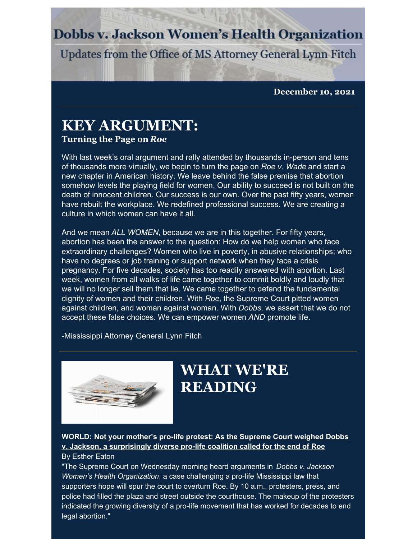### **Dobbs v. Jackson Women's Health Organization**

Updates from the Office of MS Attorney General Lynn Fitch

**December 10, 2021**

## **KEY ARGUMENT:**

#### **Turning the Page on** *Roe*

With last week's oral argument and rally attended by thousands in-person and tens of thousands more virtually, we begin to turn the page on *Roe v. Wade* and start a new chapter in American history. We leave behind the false premise that abortion somehow levels the playing field for women. Our ability to succeed is not built on the death of innocent children. Our success is our own. Over the past fifty years, women have rebuilt the workplace. We redefined professional success. We are creating a culture in which women can have it all.

And we mean *ALL WOMEN*, because we are in this together. For fifty years, abortion has been the answer to the question: How do we help women who face extraordinary challenges? Women who live in poverty, in abusive relationships; who have no degrees or job training or support network when they face a crisis pregnancy. For five decades, society has too readily answered with abortion. Last week, women from all walks of life came together to commit boldly and loudly that we will no longer sell them that lie. We came together to defend the fundamental dignity of women and their children. With *Roe*, the Supreme Court pitted women against children, and woman against woman. With *Dobbs*, we assert that we do not accept these false choices. We can empower women *AND* promote life.

-Mississippi Attorney General Lynn Fitch



# **WHAT WE'RE READING**

**WORLD: Not your mother's pro-life protest: As the Supreme Court weighed Dobbs v. Jackson, a [surprisingly](https://wng.org/roundups/not-your-mothers-pro-life-protest-1638485083) diverse pro-life coalition called for the end of Roe** By Esther Eaton

"The Supreme Court on Wednesday morning heard arguments in *Dobbs v. Jackson Women's Health Organization*, a case challenging a pro-life Mississippi law that supporters hope will spur the court to overturn Roe. By 10 a.m., protesters, press, and police had filled the plaza and street outside the courthouse. The makeup of the protesters indicated the growing diversity of a pro-life movement that has worked for decades to end legal abortion."